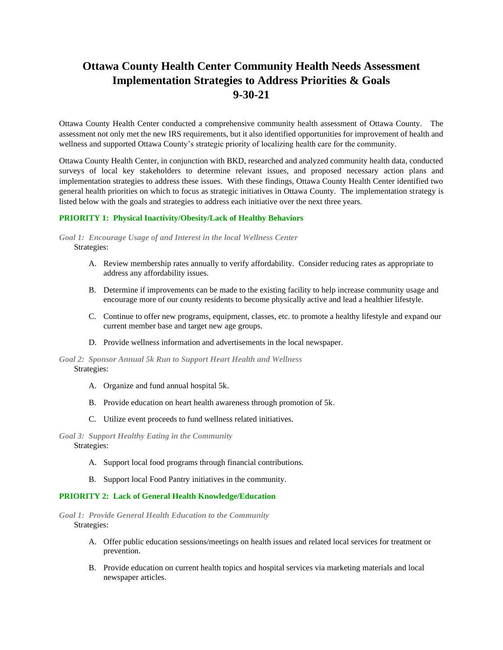# **Ottawa County Health Center Community Health Needs Assessment Implementation Strategies to Address Priorities & Goals 9-30-21**

Ottawa County Health Center conducted a comprehensive community health assessment of Ottawa County. The assessment not only met the new IRS requirements, but it also identified opportunities for improvement of health and wellness and supported Ottawa County's strategic priority of localizing health care for the community.

Ottawa County Health Center, in conjunction with BKD, researched and analyzed community health data, conducted surveys of local key stakeholders to determine relevant issues, and proposed necessary action plans and implementation strategies to address these issues. With these findings, Ottawa County Health Center identified two general health priorities on which to focus as strategic initiatives in Ottawa County. The implementation strategy is listed below with the goals and strategies to address each initiative over the next three years.

#### **PRIORITY 1: Physical Inactivity/Obesity/Lack of Healthy Behaviors**

#### *Goal 1: Encourage Usage of and Interest in the local Wellness Center* Strategies:

- A. Review membership rates annually to verify affordability. Consider reducing rates as appropriate to address any affordability issues.
- B. Determine if improvements can be made to the existing facility to help increase community usage and encourage more of our county residents to become physically active and lead a healthier lifestyle.
- C. Continue to offer new programs, equipment, classes, etc. to promote a healthy lifestyle and expand our current member base and target new age groups.
- D. Provide wellness information and advertisements in the local newspaper.

#### *Goal 2: Sponsor Annual 5k Run to Support Heart Health and Wellness* Strategies:

- A. Organize and fund annual hospital 5k.
- B. Provide education on heart health awareness through promotion of 5k.
- C. Utilize event proceeds to fund wellness related initiatives.

*Goal 3: Support Healthy Eating in the Community* Strategies:

- A. Support local food programs through financial contributions.
- B. Support local Food Pantry initiatives in the community.

## **PRIORITY 2: Lack of General Health Knowledge/Education**

*Goal 1: Provide General Health Education to the Community* Strategies:

- A. Offer public education sessions/meetings on health issues and related local services for treatment or prevention.
- B. Provide education on current health topics and hospital services via marketing materials and local newspaper articles.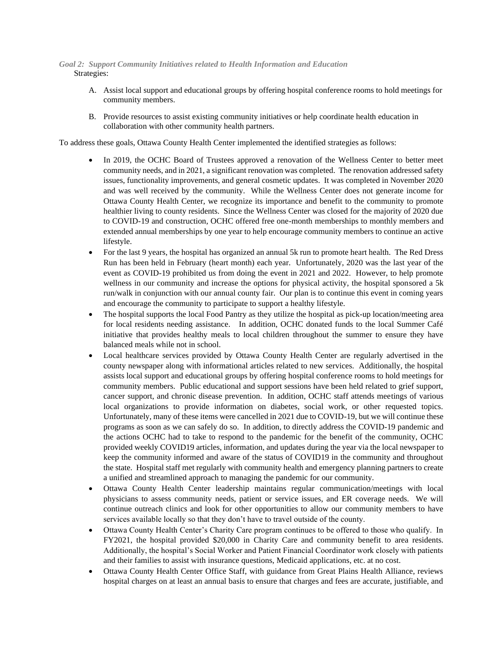### *Goal 2: Support Community Initiatives related to Health Information and Education* Strategies:

- A. Assist local support and educational groups by offering hospital conference rooms to hold meetings for community members.
- B. Provide resources to assist existing community initiatives or help coordinate health education in collaboration with other community health partners.

To address these goals, Ottawa County Health Center implemented the identified strategies as follows:

- In 2019, the OCHC Board of Trustees approved a renovation of the Wellness Center to better meet community needs, and in 2021, a significant renovation was completed. The renovation addressed safety issues, functionality improvements, and general cosmetic updates. It was completed in November 2020 and was well received by the community. While the Wellness Center does not generate income for Ottawa County Health Center, we recognize its importance and benefit to the community to promote healthier living to county residents. Since the Wellness Center was closed for the majority of 2020 due to COVID-19 and construction, OCHC offered free one-month memberships to monthly members and extended annual memberships by one year to help encourage community members to continue an active lifestyle.
- For the last 9 years, the hospital has organized an annual 5k run to promote heart health. The Red Dress Run has been held in February (heart month) each year. Unfortunately, 2020 was the last year of the event as COVID-19 prohibited us from doing the event in 2021 and 2022. However, to help promote wellness in our community and increase the options for physical activity, the hospital sponsored a 5k run/walk in conjunction with our annual county fair. Our plan is to continue this event in coming years and encourage the community to participate to support a healthy lifestyle.
- The hospital supports the local Food Pantry as they utilize the hospital as pick-up location/meeting area for local residents needing assistance. In addition, OCHC donated funds to the local Summer Café initiative that provides healthy meals to local children throughout the summer to ensure they have balanced meals while not in school.
- Local healthcare services provided by Ottawa County Health Center are regularly advertised in the county newspaper along with informational articles related to new services. Additionally, the hospital assists local support and educational groups by offering hospital conference rooms to hold meetings for community members. Public educational and support sessions have been held related to grief support, cancer support, and chronic disease prevention. In addition, OCHC staff attends meetings of various local organizations to provide information on diabetes, social work, or other requested topics. Unfortunately, many of these items were cancelled in 2021 due to COVID-19, but we will continue these programs as soon as we can safely do so. In addition, to directly address the COVID-19 pandemic and the actions OCHC had to take to respond to the pandemic for the benefit of the community, OCHC provided weekly COVID19 articles, information, and updates during the year via the local newspaper to keep the community informed and aware of the status of COVID19 in the community and throughout the state. Hospital staff met regularly with community health and emergency planning partners to create a unified and streamlined approach to managing the pandemic for our community.
- Ottawa County Health Center leadership maintains regular communication/meetings with local physicians to assess community needs, patient or service issues, and ER coverage needs. We will continue outreach clinics and look for other opportunities to allow our community members to have services available locally so that they don't have to travel outside of the county.
- Ottawa County Health Center's Charity Care program continues to be offered to those who qualify. In FY2021, the hospital provided \$20,000 in Charity Care and community benefit to area residents. Additionally, the hospital's Social Worker and Patient Financial Coordinator work closely with patients and their families to assist with insurance questions, Medicaid applications, etc. at no cost.
- Ottawa County Health Center Office Staff, with guidance from Great Plains Health Alliance, reviews hospital charges on at least an annual basis to ensure that charges and fees are accurate, justifiable, and